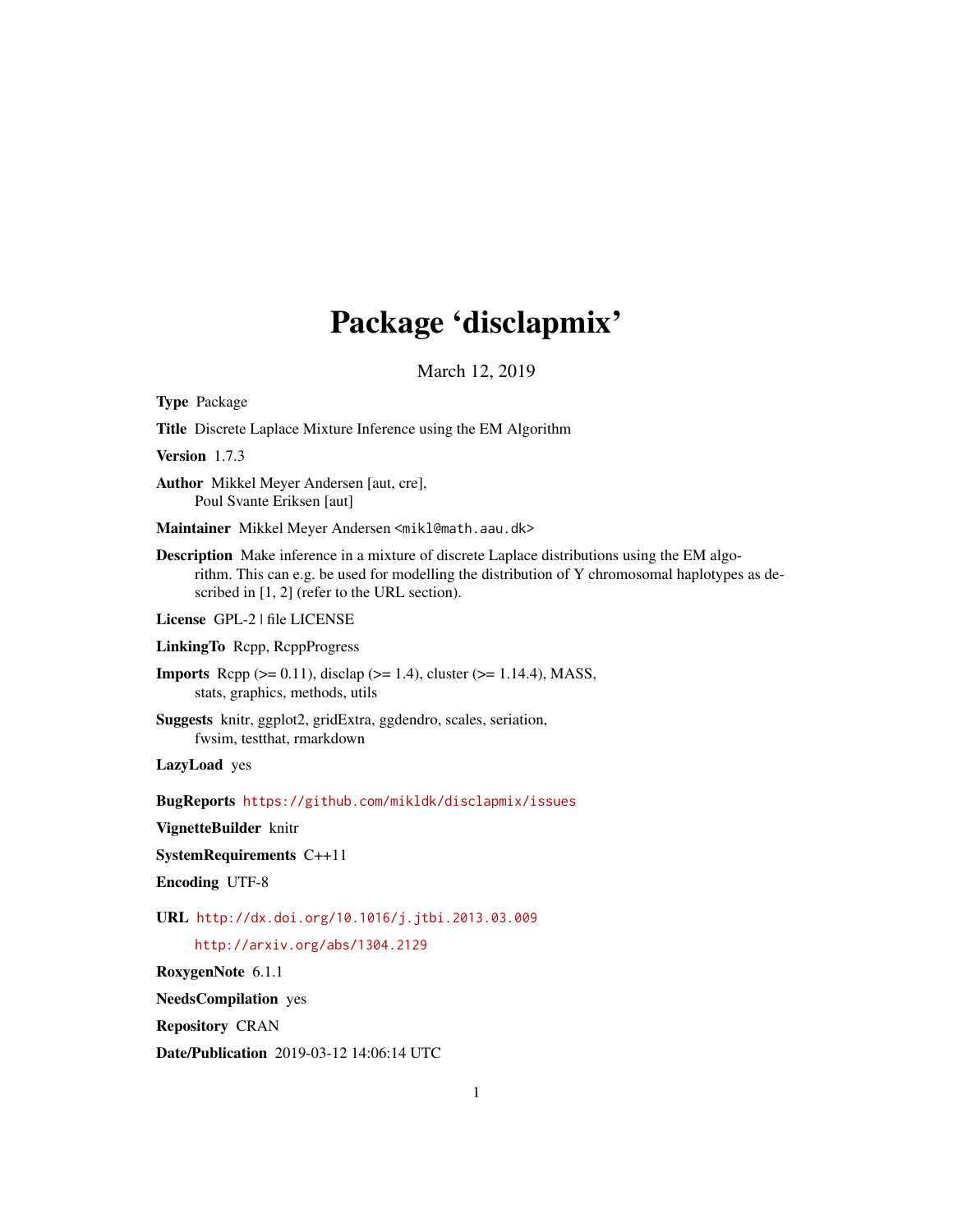# Package 'disclapmix'

March 12, 2019

<span id="page-0-0"></span>Type Package

Title Discrete Laplace Mixture Inference using the EM Algorithm

Version 1.7.3

Author Mikkel Meyer Andersen [aut, cre], Poul Svante Eriksen [aut]

Maintainer Mikkel Meyer Andersen <mikl@math.aau.dk>

Description Make inference in a mixture of discrete Laplace distributions using the EM algorithm. This can e.g. be used for modelling the distribution of Y chromosomal haplotypes as described in [1, 2] (refer to the URL section).

License GPL-2 | file LICENSE

LinkingTo Rcpp, RcppProgress

**Imports** Rcpp ( $>= 0.11$ ), disclap ( $>= 1.4$ ), cluster ( $>= 1.14.4$ ), MASS, stats, graphics, methods, utils

Suggests knitr, ggplot2, gridExtra, ggdendro, scales, seriation, fwsim, testthat, rmarkdown

LazyLoad yes

BugReports <https://github.com/mikldk/disclapmix/issues>

VignetteBuilder knitr

SystemRequirements C++11

Encoding UTF-8

URL <http://dx.doi.org/10.1016/j.jtbi.2013.03.009>

<http://arxiv.org/abs/1304.2129>

RoxygenNote 6.1.1

NeedsCompilation yes

Repository CRAN

Date/Publication 2019-03-12 14:06:14 UTC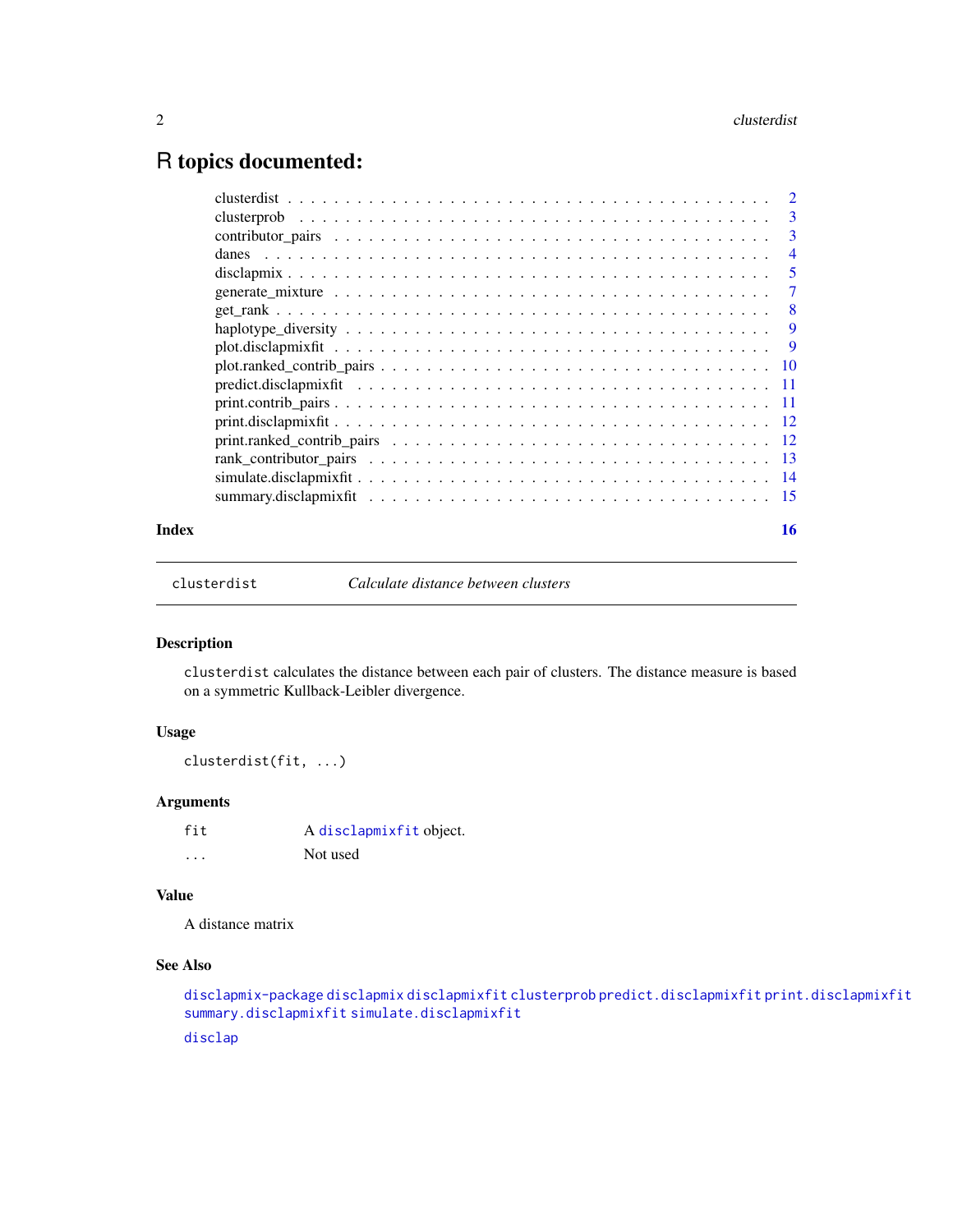# <span id="page-1-0"></span>R topics documented:

|       |                     | -3             |
|-------|---------------------|----------------|
|       |                     | $\overline{4}$ |
|       |                     |                |
|       |                     |                |
|       |                     |                |
|       |                     |                |
|       |                     |                |
|       |                     |                |
|       |                     |                |
|       |                     |                |
|       |                     |                |
|       | $print.random$ $12$ |                |
|       |                     |                |
|       |                     |                |
|       |                     |                |
| Index |                     | 16             |

<span id="page-1-1"></span>clusterdist *Calculate distance between clusters*

#### Description

clusterdist calculates the distance between each pair of clusters. The distance measure is based on a symmetric Kullback-Leibler divergence.

# Usage

clusterdist(fit, ...)

# Arguments

fit A [disclapmixfit](#page-4-1) object. ... Not used

#### Value

A distance matrix

#### See Also

```
disclapmix-package disclapmix disclapmixfit clusterprob predict.disclapmixfit print.disclapmixfit
summary.disclapmixfit simulate.disclapmixfit
```
[disclap](#page-0-0)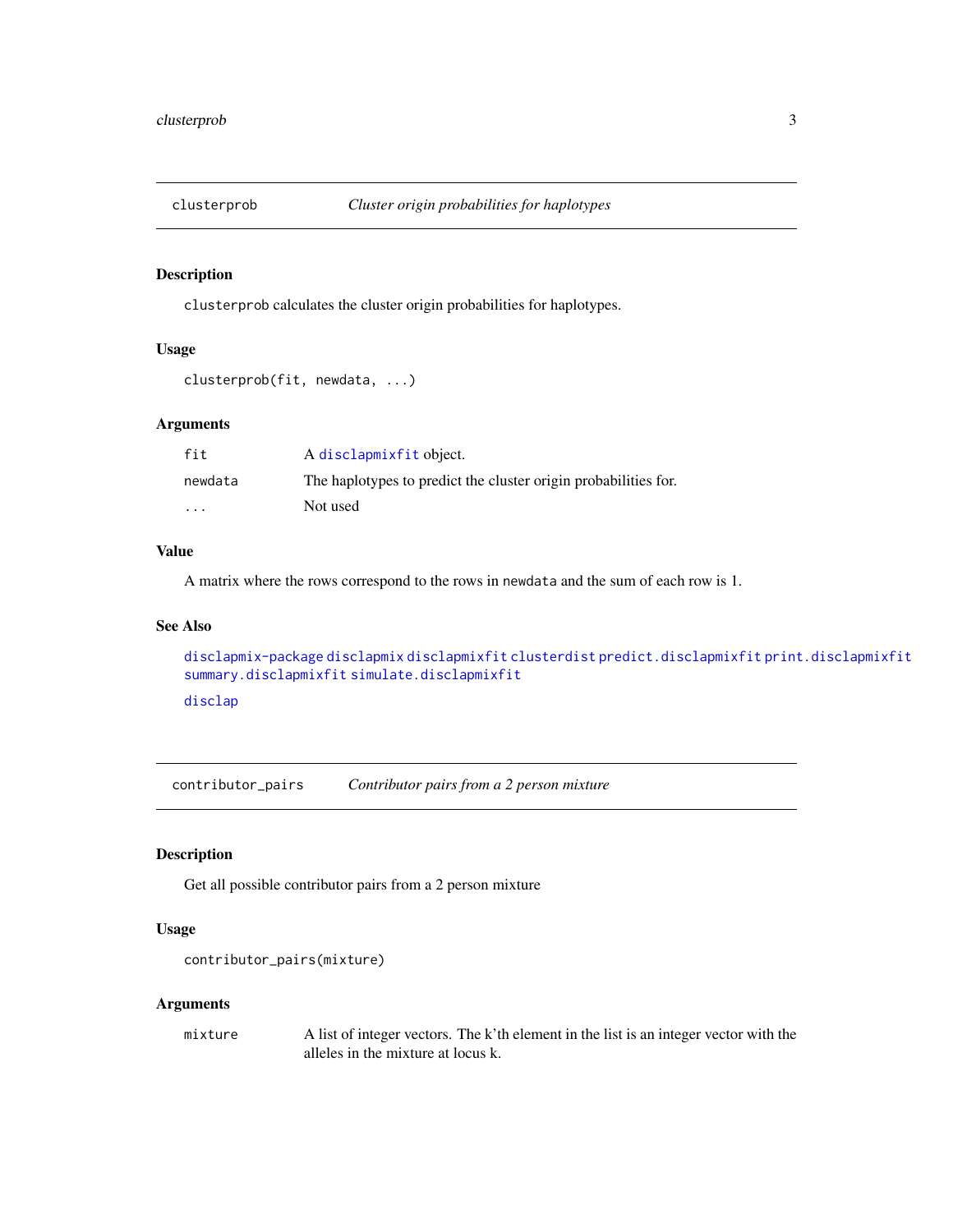<span id="page-2-1"></span><span id="page-2-0"></span>

#### Description

clusterprob calculates the cluster origin probabilities for haplotypes.

#### Usage

```
clusterprob(fit, newdata, ...)
```
# Arguments

| fit     | A disclapmixfit object.                                         |
|---------|-----------------------------------------------------------------|
| newdata | The haplotypes to predict the cluster origin probabilities for. |
| $\cdot$ | Not used                                                        |

#### Value

A matrix where the rows correspond to the rows in newdata and the sum of each row is 1.

#### See Also

```
disclapmix-package disclapmix disclapmixfit clusterdist predict.disclapmixfit print.disclapmixfit
summary.disclapmixfit simulate.disclapmixfit
disclap
```
<span id="page-2-2"></span>contributor\_pairs *Contributor pairs from a 2 person mixture*

### Description

Get all possible contributor pairs from a 2 person mixture

#### Usage

```
contributor_pairs(mixture)
```
#### Arguments

mixture A list of integer vectors. The k'th element in the list is an integer vector with the alleles in the mixture at locus k.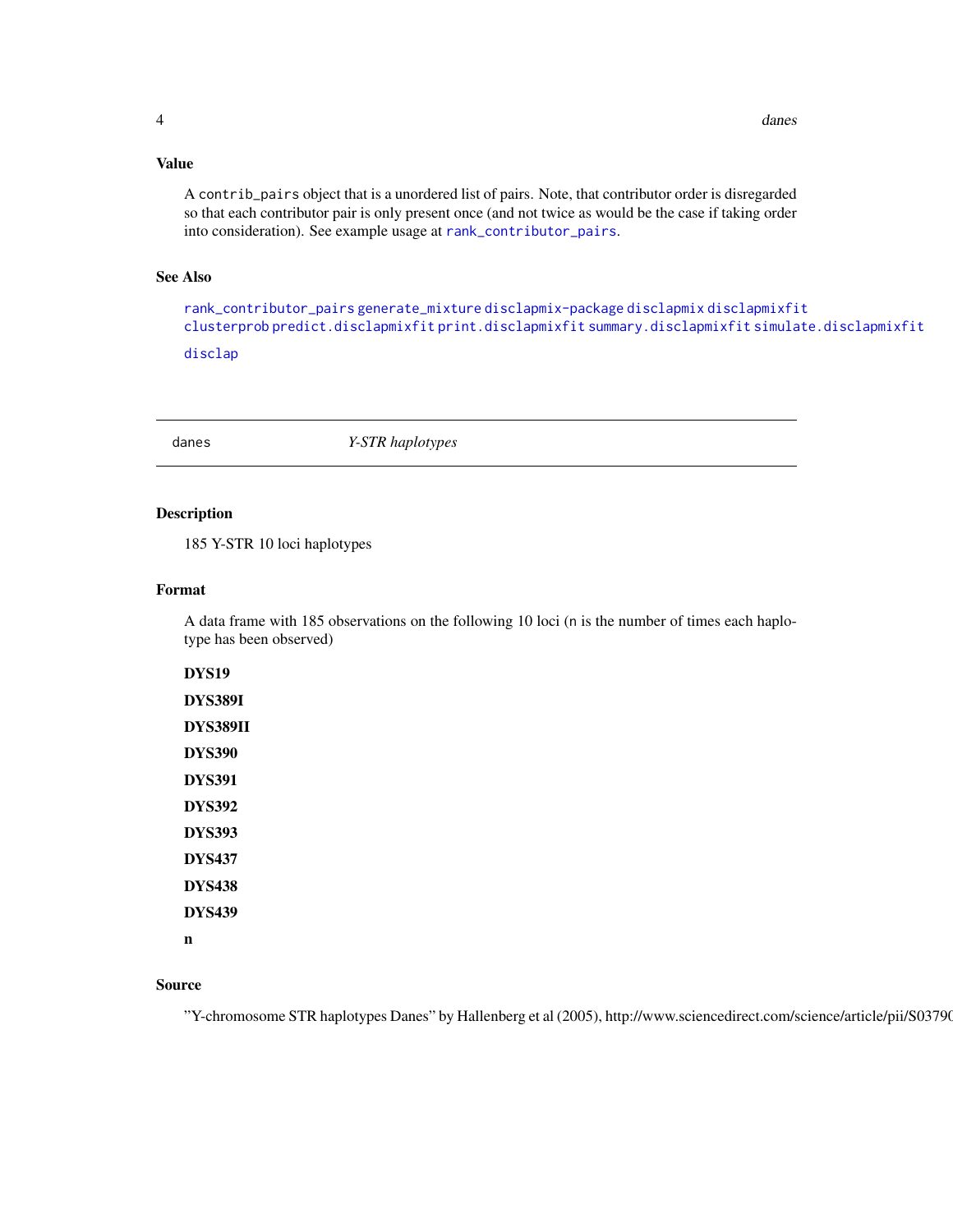# <span id="page-3-0"></span>Value

A contrib\_pairs object that is a unordered list of pairs. Note, that contributor order is disregarded so that each contributor pair is only present once (and not twice as would be the case if taking order into consideration). See example usage at [rank\\_contributor\\_pairs](#page-12-1).

#### See Also

[rank\\_contributor\\_pairs](#page-12-1) [generate\\_mixture](#page-6-1) [disclapmix-package](#page-4-1) [disclapmix](#page-4-2) [disclapmixfit](#page-4-1) [clusterprob](#page-2-1) [predict.disclapmixfit](#page-10-1) [print.disclapmixfit](#page-11-1) [summary.disclapmixfit](#page-14-1) [simulate.disclapmixfit](#page-13-1) [disclap](#page-0-0)

danes *Y-STR haplotypes*

### Description

185 Y-STR 10 loci haplotypes

#### Format

A data frame with 185 observations on the following 10 loci (n is the number of times each haplotype has been observed)

DYS19 DYS389I DYS389II DYS390 DYS391 DYS392 DYS393 DYS437 DYS438 DYS439 n

#### Source

"Y-chromosome STR haplotypes Danes" by Hallenberg et al (2005), http://www.sciencedirect.com/science/article/pii/S03790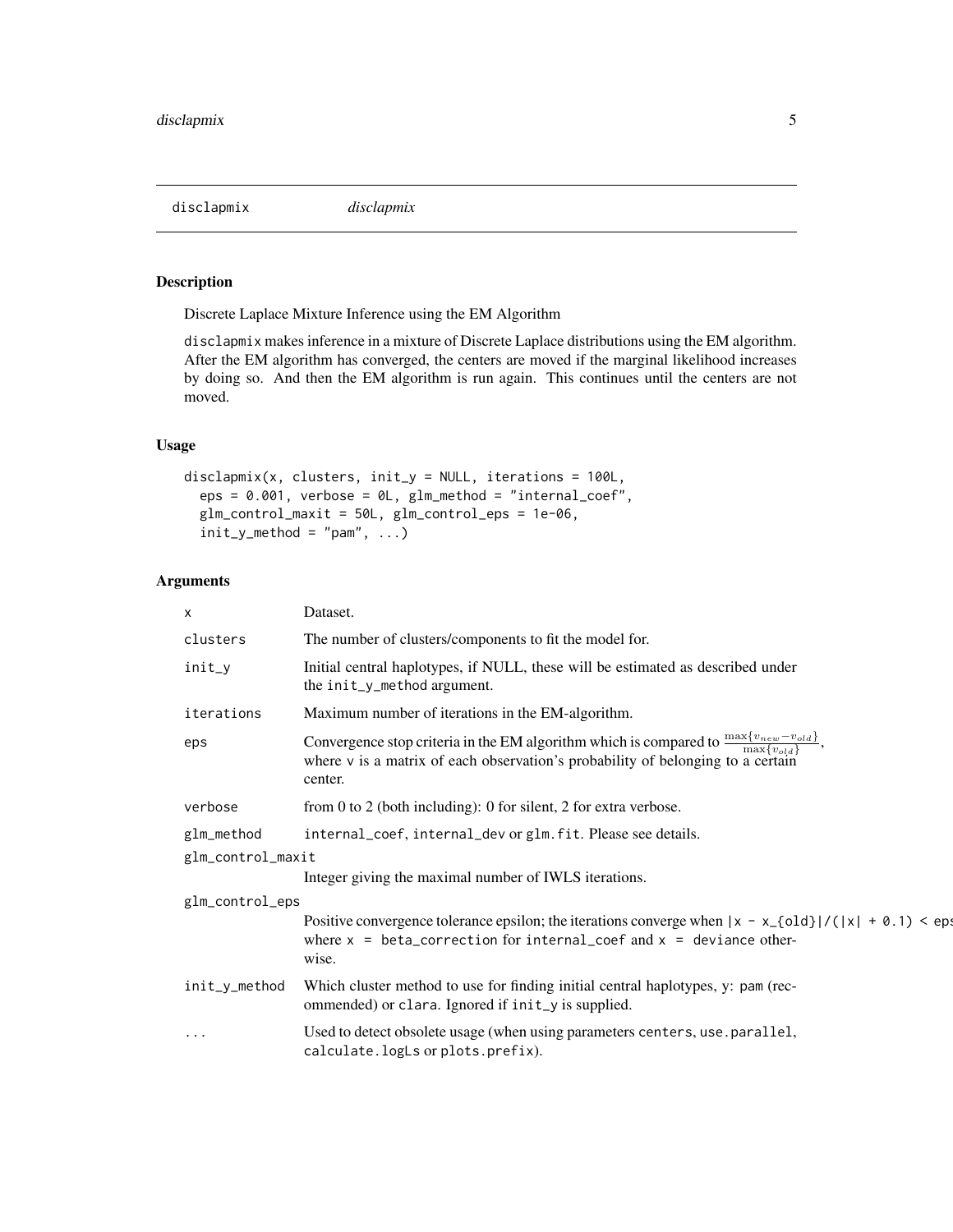<span id="page-4-2"></span><span id="page-4-0"></span>disclapmix *disclapmix*

# <span id="page-4-1"></span>Description

Discrete Laplace Mixture Inference using the EM Algorithm

disclapmix makes inference in a mixture of Discrete Laplace distributions using the EM algorithm. After the EM algorithm has converged, the centers are moved if the marginal likelihood increases by doing so. And then the EM algorithm is run again. This continues until the centers are not moved.

### Usage

```
disclapmix(x, clusters, init_y = NULL, iterations = 100L,
  eps = 0.001, verbose = 0L, glm\_method = "internal\_coeff",glm_control_maxit = 50L, glm_control_eps = 1e-06,
  init_y_method = "pam", ...)
```

| $\mathsf{x}$      | Dataset.                                                                                                                                                                                                               |
|-------------------|------------------------------------------------------------------------------------------------------------------------------------------------------------------------------------------------------------------------|
| clusters          | The number of clusters/components to fit the model for.                                                                                                                                                                |
| init_y            | Initial central haplotypes, if NULL, these will be estimated as described under<br>the init_y_method argument.                                                                                                         |
| iterations        | Maximum number of iterations in the EM-algorithm.                                                                                                                                                                      |
| eps               | Convergence stop criteria in the EM algorithm which is compared to $\frac{\max\{v_{new} - v_{old}\}}{\max\{v_{old}\}}$ ,<br>where v is a matrix of each observation's probability of belonging to a certain<br>center. |
| verbose           | from 0 to 2 (both including): 0 for silent, 2 for extra verbose.                                                                                                                                                       |
| glm_method        | internal_coef, internal_dev or glm. fit. Please see details.                                                                                                                                                           |
| glm_control_maxit |                                                                                                                                                                                                                        |
|                   | Integer giving the maximal number of IWLS iterations.                                                                                                                                                                  |
| glm_control_eps   |                                                                                                                                                                                                                        |
|                   | Positive convergence tolerance epsilon; the iterations converge when $ x - x_{0}d  / ( x  + 0.1) <$ eps<br>where $x = beta\_correction$ for internal_coef and $x = deviance$ other-<br>wise.                           |
| init_y_method     | Which cluster method to use for finding initial central haplotypes, y: pam (rec-<br>ommended) or clara. Ignored if init_y is supplied.                                                                                 |
| $\cdot$           | Used to detect obsolete usage (when using parameters centers, use .parallel,<br>calculate.logLs or plots.prefix).                                                                                                      |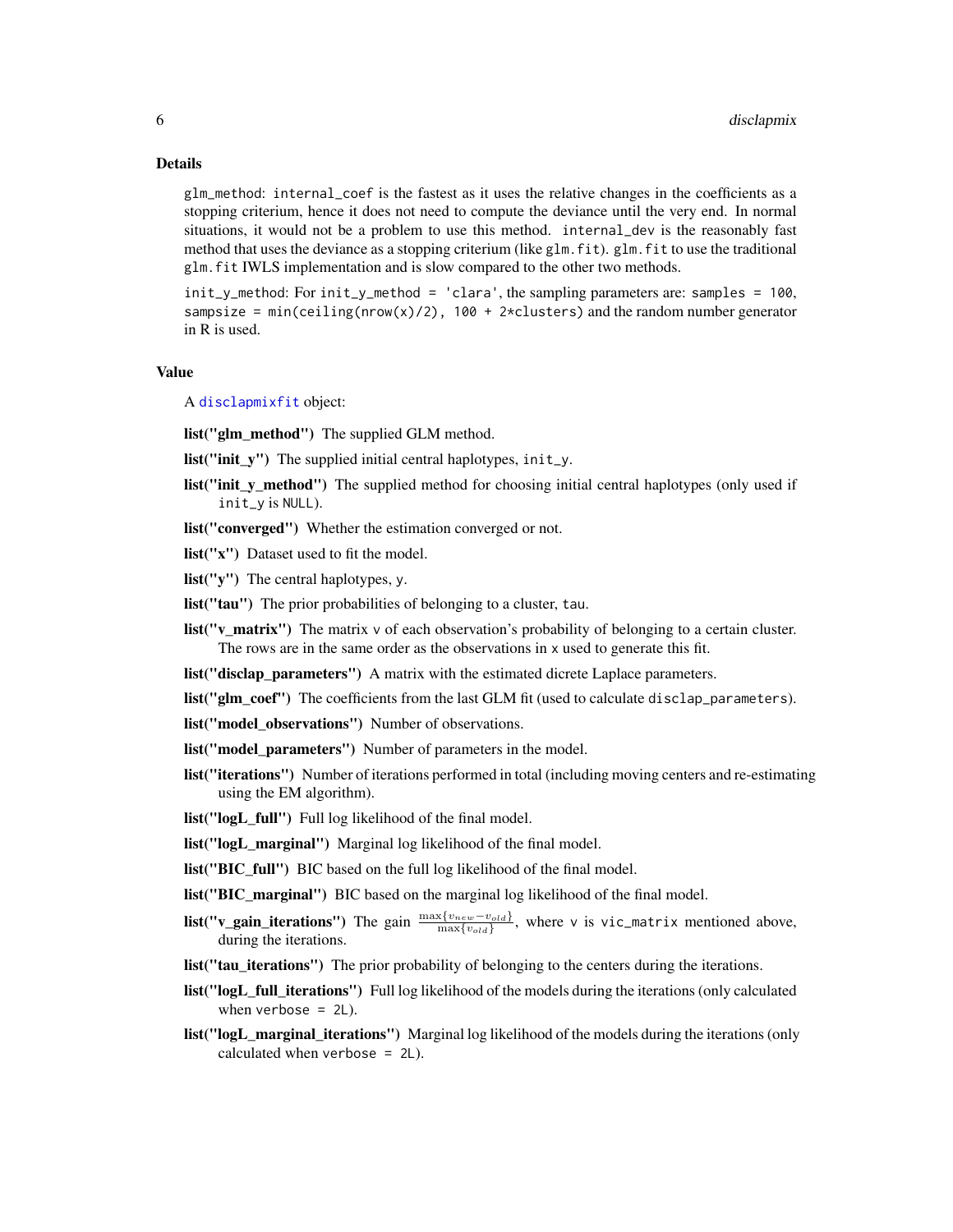#### <span id="page-5-0"></span>Details

glm\_method: internal\_coef is the fastest as it uses the relative changes in the coefficients as a stopping criterium, hence it does not need to compute the deviance until the very end. In normal situations, it would not be a problem to use this method. internal\_dev is the reasonably fast method that uses the deviance as a stopping criterium (like glm.fit). glm.fit to use the traditional glm.fit IWLS implementation and is slow compared to the other two methods.

init\_y\_method: For init\_y\_method = 'clara', the sampling parameters are: samples = 100, sampsize = min(ceiling(nrow(x)/2),  $100 + 2 \times \text{clusters}$ ) and the random number generator in R is used.

#### Value

A [disclapmixfit](#page-4-1) object:

list("glm\_method") The supplied GLM method.

**list("init** y") The supplied initial central haplotypes,  $init_y$ .

- list("init\_y\_method") The supplied method for choosing initial central haplotypes (only used if init\_y is NULL).
- list("converged") Whether the estimation converged or not.
- list("x") Dataset used to fit the model.

list("y") The central haplotypes, y.

- list("tau") The prior probabilities of belonging to a cluster, tau.
- list("v\_matrix") The matrix v of each observation's probability of belonging to a certain cluster. The rows are in the same order as the observations in x used to generate this fit.
- list("disclap\_parameters") A matrix with the estimated dicrete Laplace parameters.
- list("glm\_coef") The coefficients from the last GLM fit (used to calculate disclap\_parameters).
- list("model\_observations") Number of observations.
- list("model\_parameters") Number of parameters in the model.
- list("iterations") Number of iterations performed in total (including moving centers and re-estimating using the EM algorithm).
- list("logL\_full") Full log likelihood of the final model.
- list("logL\_marginal") Marginal log likelihood of the final model.
- list("BIC\_full") BIC based on the full log likelihood of the final model.

**list("BIC** marginal") BIC based on the marginal log likelihood of the final model.

- **list("v\_gain\_iterations")** The gain  $\frac{\max\{v_{new}-v_{old}\}}{\max\{v_{old}\}}$ , where v is vic\_matrix mentioned above, during the iterations.
- list("tau\_iterations") The prior probability of belonging to the centers during the iterations.
- list("logL\_full\_iterations") Full log likelihood of the models during the iterations (only calculated when verbose  $= 2L$ ).
- list("logL\_marginal\_iterations") Marginal log likelihood of the models during the iterations (only calculated when verbose = 2L).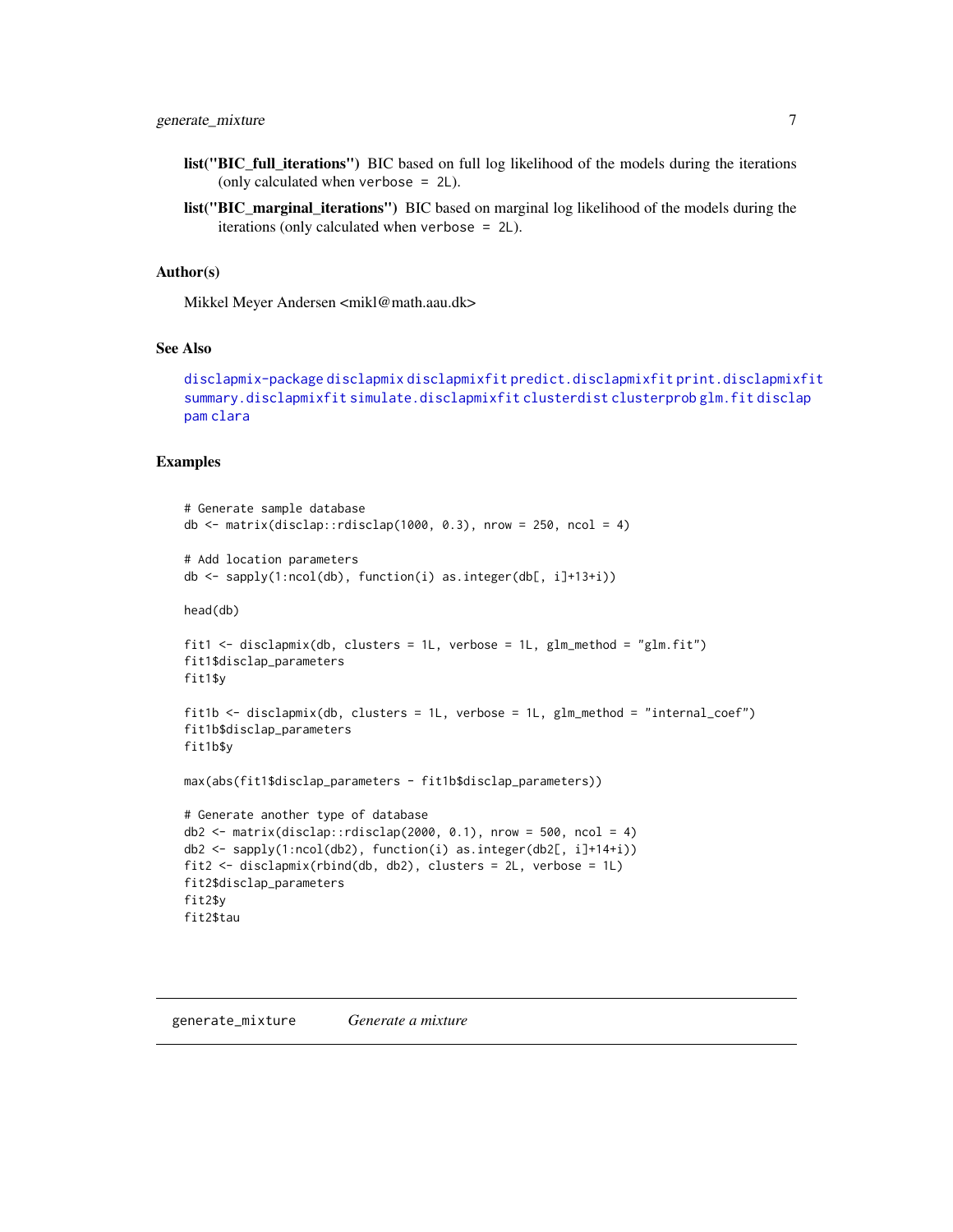- <span id="page-6-0"></span>list("BIC\_full\_iterations") BIC based on full log likelihood of the models during the iterations (only calculated when verbose = 2L).
- list("BIC\_marginal\_iterations") BIC based on marginal log likelihood of the models during the iterations (only calculated when verbose = 2L).

#### Author(s)

Mikkel Meyer Andersen <mikl@math.aau.dk>

#### See Also

[disclapmix-package](#page-4-1) [disclapmix](#page-4-2) [disclapmixfit](#page-4-1) [predict.disclapmixfit](#page-10-1) [print.disclapmixfit](#page-11-1) [summary.disclapmixfit](#page-14-1) [simulate.disclapmixfit](#page-13-1) [clusterdist](#page-1-1) [clusterprob](#page-2-1) [glm.fit](#page-0-0) [disclap](#page-0-0) [pam](#page-0-0) [clara](#page-0-0)

#### Examples

```
# Generate sample database
db \le matrix(disclap::rdisclap(1000, 0.3), nrow = 250, ncol = 4)
# Add location parameters
db <- sapply(1:ncol(db), function(i) as.integer(db[, i]+13+i))
head(db)
fit1 \le disclapmix(db, clusters = 1L, verbose = 1L, glm_method = "glm.fit")
fit1$disclap_parameters
fit1$y
fit1b <- disclapmix(db, clusters = 1L, verbose = 1L, glm_method = "internal_coef")
fit1b$disclap_parameters
fit1b$y
max(abs(fit1$disclap_parameters - fit1b$disclap_parameters))
# Generate another type of database
db2 \leq -\text{matrix}(disclap::rdisclap(2000, 0.1), nrow = 500, ncol = 4)db2 <- sapply(1:ncol(db2), function(i) as.integer(db2[, i]+14+i))
fit2 <- disclapmix(rbind(db, db2), clusters = 2L, verbose = 1L)
fit2$disclap_parameters
fit2$y
fit2$tau
```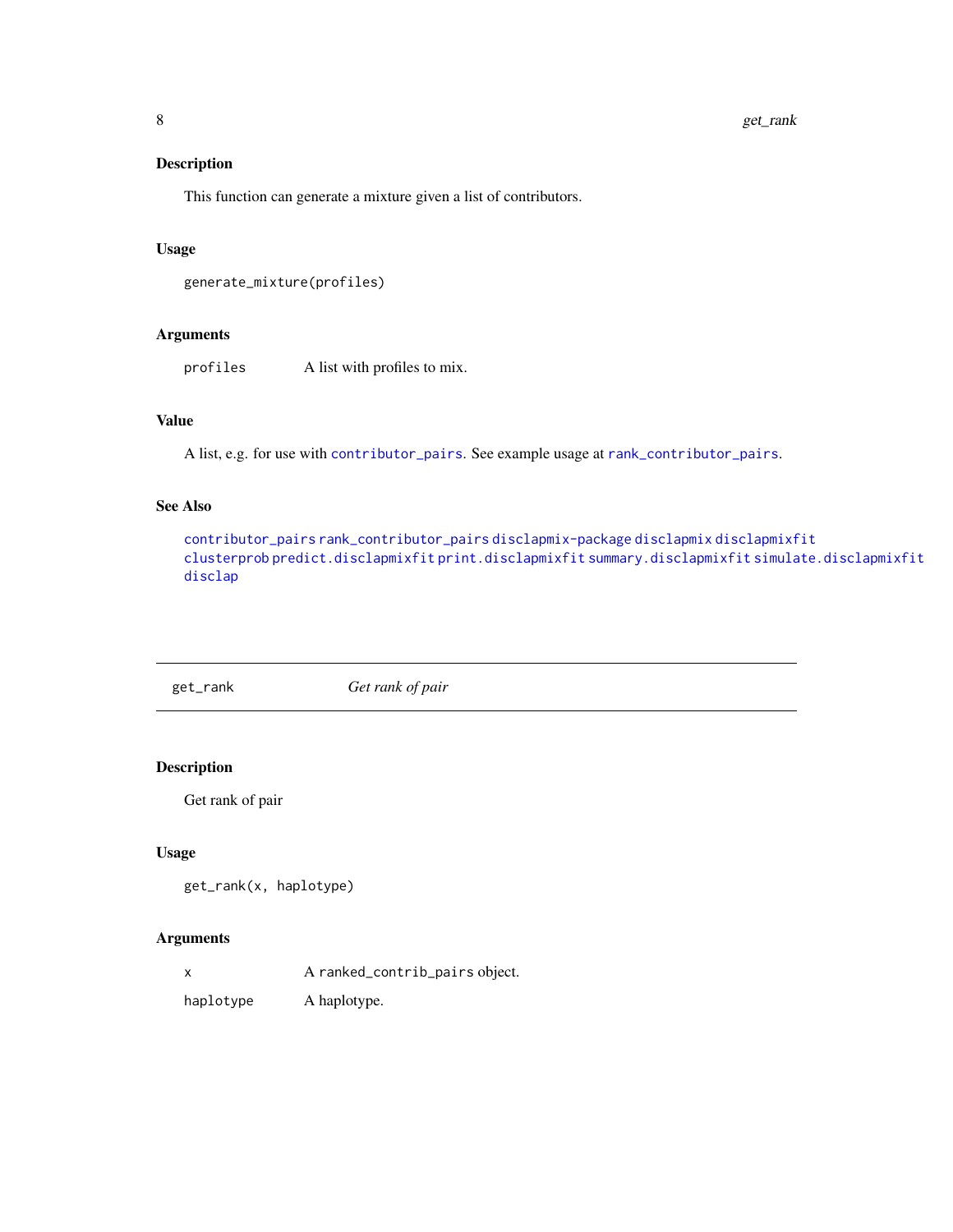#### <span id="page-7-0"></span>Description

This function can generate a mixture given a list of contributors.

#### Usage

```
generate_mixture(profiles)
```
#### Arguments

profiles A list with profiles to mix.

# Value

A list, e.g. for use with [contributor\\_pairs](#page-2-2). See example usage at [rank\\_contributor\\_pairs](#page-12-1).

# See Also

[contributor\\_pairs](#page-2-2) [rank\\_contributor\\_pairs](#page-12-1) [disclapmix-package](#page-4-1) [disclapmix](#page-4-2) [disclapmixfit](#page-4-1) [clusterprob](#page-2-1) [predict.disclapmixfit](#page-10-1) [print.disclapmixfit](#page-11-1) [summary.disclapmixfit](#page-14-1) [simulate.disclapmixfit](#page-13-1) [disclap](#page-0-0)

get\_rank *Get rank of pair*

#### Description

Get rank of pair

#### Usage

```
get_rank(x, haplotype)
```
#### Arguments

x A ranked\_contrib\_pairs object.

haplotype A haplotype.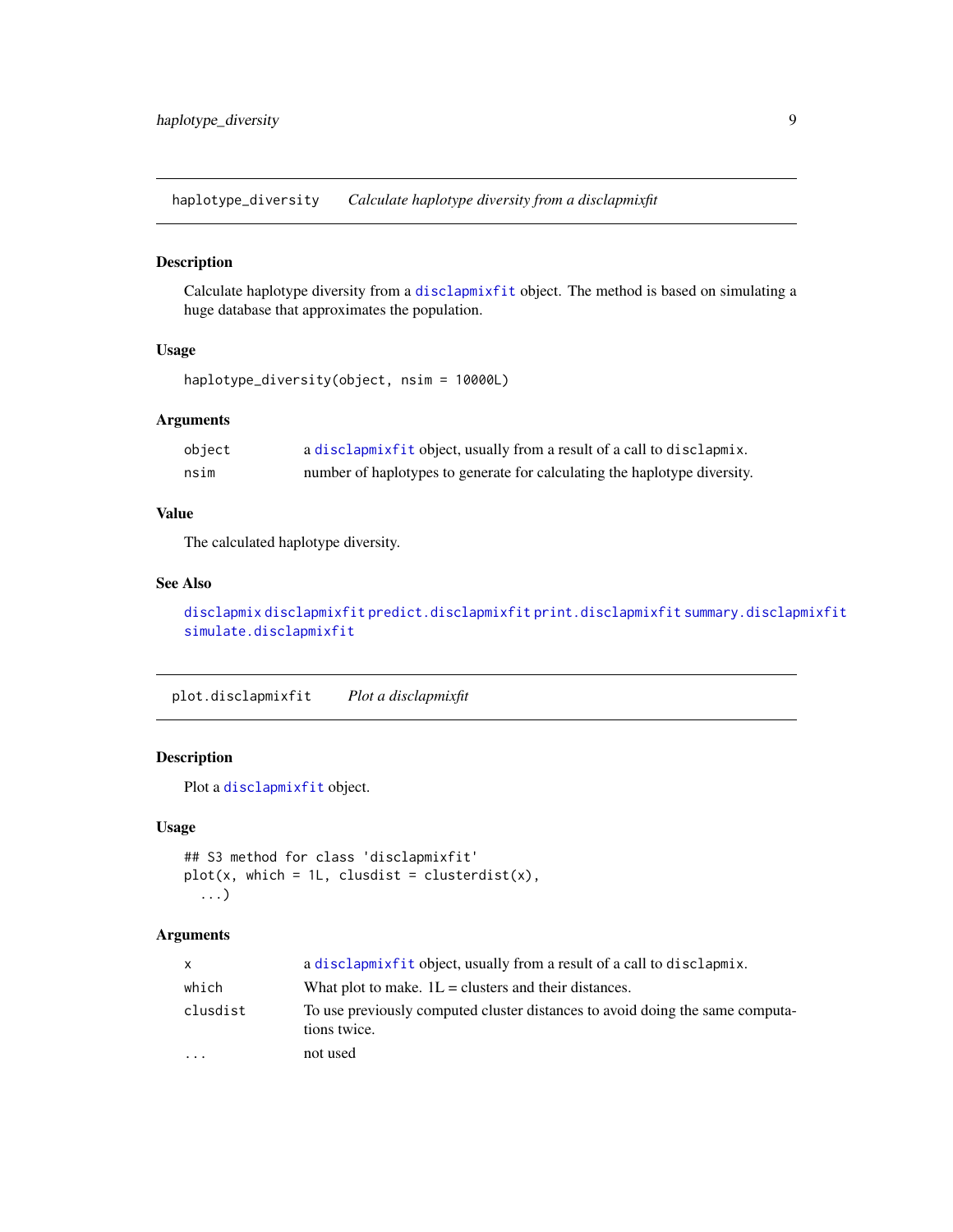<span id="page-8-0"></span>haplotype\_diversity *Calculate haplotype diversity from a disclapmixfit*

#### Description

Calculate haplotype diversity from a [disclapmixfit](#page-4-1) object. The method is based on simulating a huge database that approximates the population.

# Usage

```
haplotype_diversity(object, nsim = 10000L)
```
# Arguments

| object | a disclapmixfit object, usually from a result of a call to disclapmix.    |
|--------|---------------------------------------------------------------------------|
| nsim   | number of haplotypes to generate for calculating the haplotype diversity. |

#### Value

The calculated haplotype diversity.

#### See Also

[disclapmix](#page-4-2) [disclapmixfit](#page-4-1) [predict.disclapmixfit](#page-10-1) [print.disclapmixfit](#page-11-1) [summary.disclapmixfit](#page-14-1) [simulate.disclapmixfit](#page-13-1)

<span id="page-8-1"></span>plot.disclapmixfit *Plot a disclapmixfit*

# Description

Plot a [disclapmixfit](#page-4-1) object.

#### Usage

```
## S3 method for class 'disclapmixfit'
plot(x, which = 1L, clusdist = clusterdist(x),...)
```

| X        | a disclarmixfit object, usually from a result of a call to disclarmix.                        |
|----------|-----------------------------------------------------------------------------------------------|
| which    | What plot to make. $1L =$ clusters and their distances.                                       |
| clusdist | To use previously computed cluster distances to avoid doing the same computa-<br>tions twice. |
| $\cdot$  | not used                                                                                      |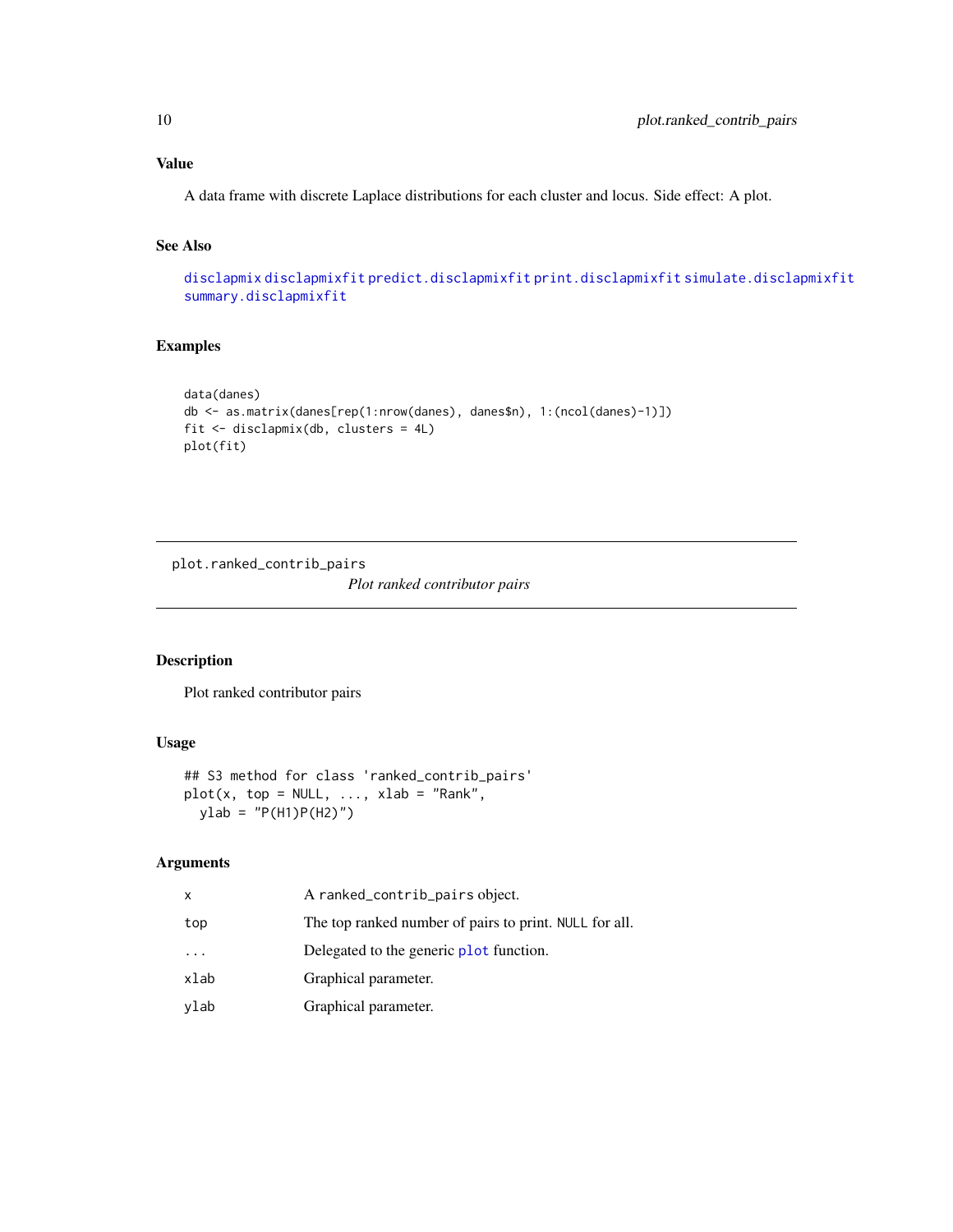<span id="page-9-0"></span>A data frame with discrete Laplace distributions for each cluster and locus. Side effect: A plot.

#### See Also

[disclapmix](#page-4-2) [disclapmixfit](#page-4-1) [predict.disclapmixfit](#page-10-1) [print.disclapmixfit](#page-11-1) [simulate.disclapmixfit](#page-13-1) [summary.disclapmixfit](#page-14-1)

#### Examples

```
data(danes)
db <- as.matrix(danes[rep(1:nrow(danes), danes$n), 1:(ncol(danes)-1)])
fit <- disclapmix(db, clusters = 4L)
plot(fit)
```
plot.ranked\_contrib\_pairs *Plot ranked contributor pairs*

#### Description

Plot ranked contributor pairs

#### Usage

```
## S3 method for class 'ranked_contrib_pairs'
plot(x, top = NULL, ..., xlab = "Rank",ylab = "P(H1)P(H2)")
```

| x    | A ranked_contrib_pairs object.                         |
|------|--------------------------------------------------------|
| top  | The top ranked number of pairs to print. NULL for all. |
| .    | Delegated to the generic plot function.                |
| xlab | Graphical parameter.                                   |
| vlab | Graphical parameter.                                   |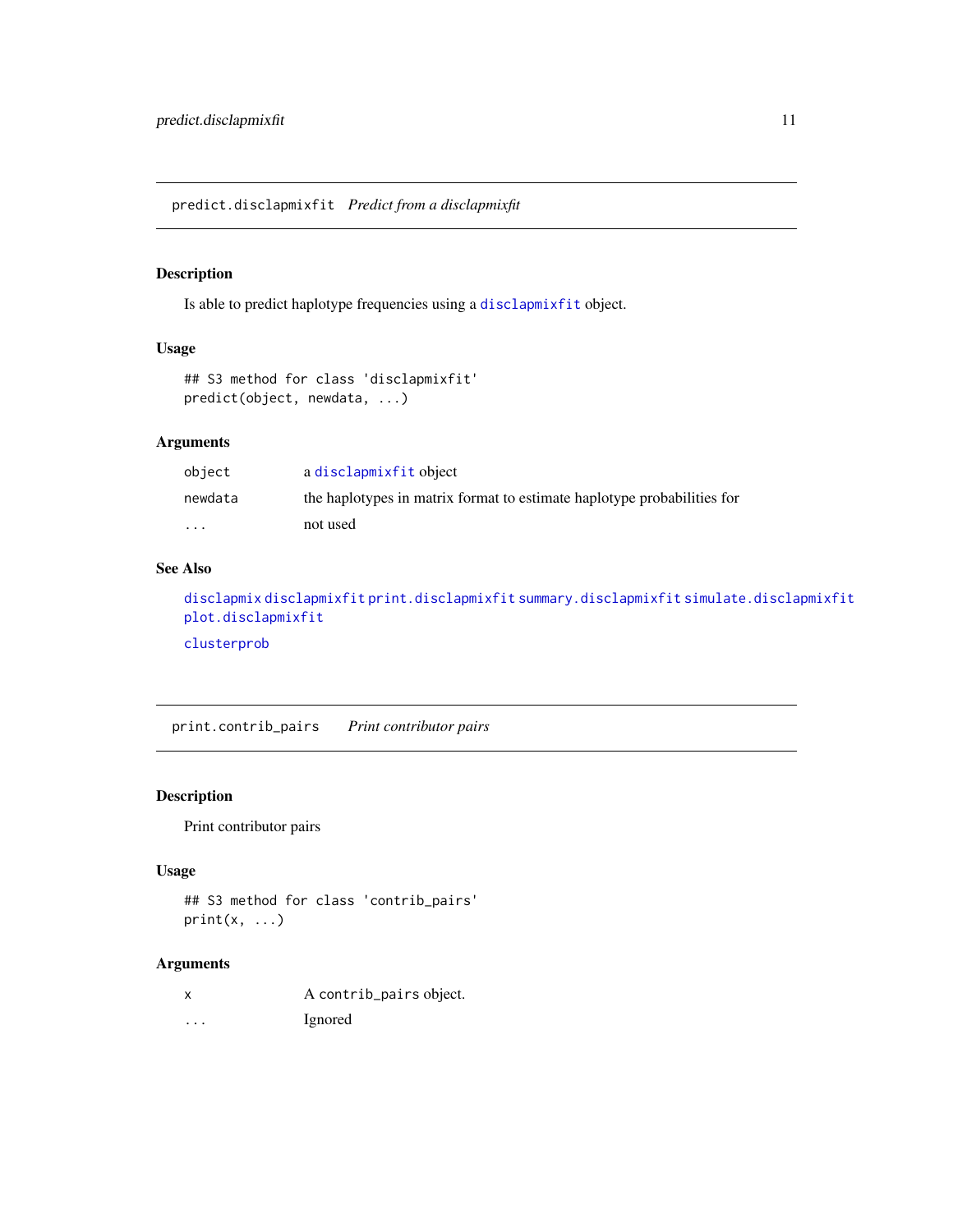<span id="page-10-1"></span><span id="page-10-0"></span>predict.disclapmixfit *Predict from a disclapmixfit*

# Description

Is able to predict haplotype frequencies using a [disclapmixfit](#page-4-1) object.

#### Usage

```
## S3 method for class 'disclapmixfit'
predict(object, newdata, ...)
```
# Arguments

| object   | a disclapmixfit object                                                  |
|----------|-------------------------------------------------------------------------|
| newdata  | the haplotypes in matrix format to estimate haplotype probabilities for |
| $\cdots$ | not used                                                                |

# See Also

```
disclapmix disclapmixfit print.disclapmixfit summary.disclapmixfit simulate.disclapmixfit
plot.disclapmixfit
clusterprob
```
print.contrib\_pairs *Print contributor pairs*

#### Description

Print contributor pairs

#### Usage

```
## S3 method for class 'contrib_pairs'
print(x, \ldots)
```
# Arguments

|  |  |  | A contrib_pairs object. |
|--|--|--|-------------------------|
|  |  |  |                         |

... Ignored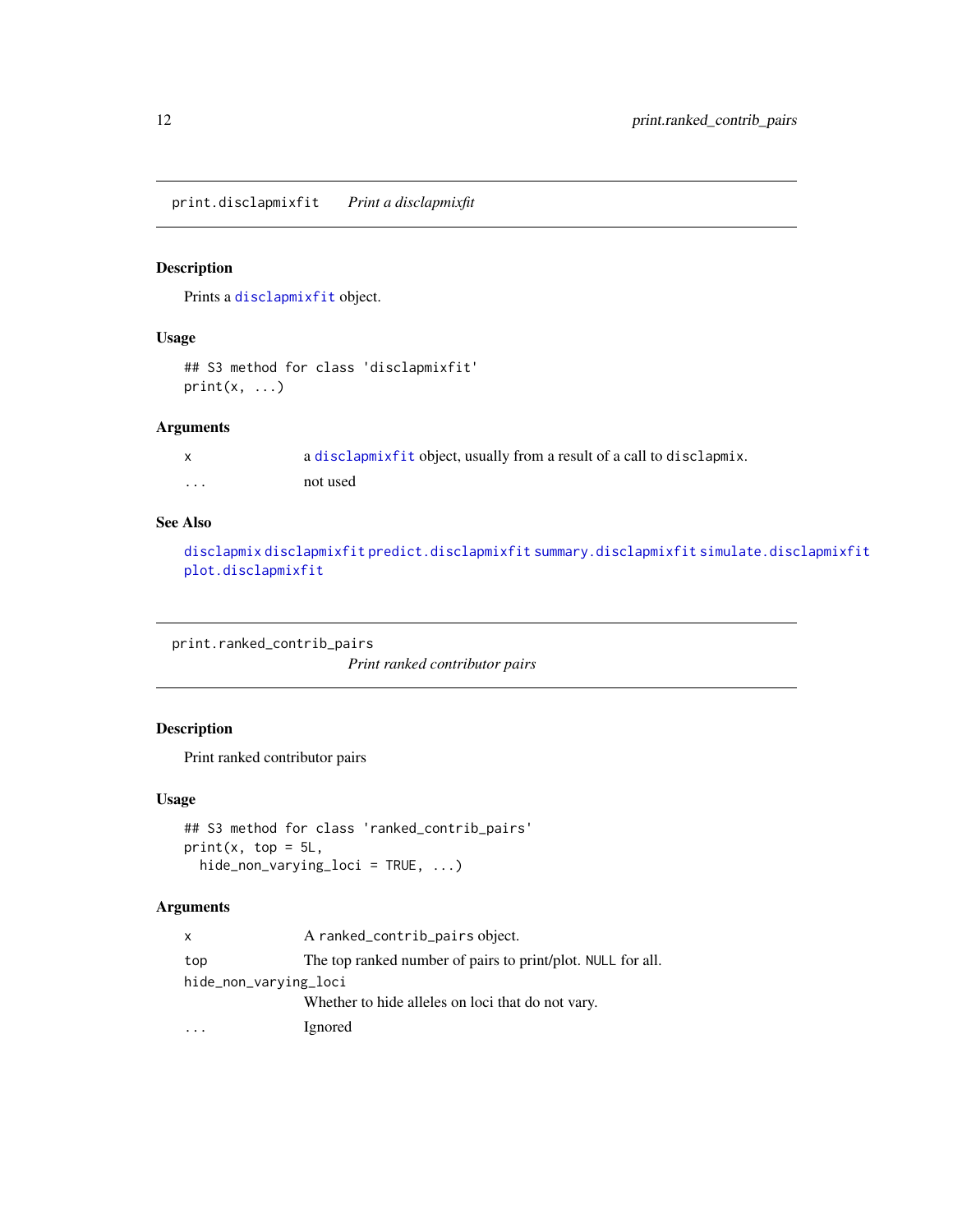<span id="page-11-1"></span><span id="page-11-0"></span>print.disclapmixfit *Print a disclapmixfit*

### Description

Prints a [disclapmixfit](#page-4-1) object.

#### Usage

```
## S3 method for class 'disclapmixfit'
print(x, \ldots)
```
### Arguments

|   | a disclapmix fit object, usually from a result of a call to disclapmix. |
|---|-------------------------------------------------------------------------|
| . | not used                                                                |

#### See Also

[disclapmix](#page-4-2) [disclapmixfit](#page-4-1) [predict.disclapmixfit](#page-10-1) [summary.disclapmixfit](#page-14-1) [simulate.disclapmixfit](#page-13-1) [plot.disclapmixfit](#page-8-1)

print.ranked\_contrib\_pairs *Print ranked contributor pairs*

# Description

Print ranked contributor pairs

#### Usage

```
## S3 method for class 'ranked_contrib_pairs'
print(x, top = 5L,hide_non_varying_loci = TRUE, ...)
```

| X                     | A ranked_contrib_pairs object.                              |
|-----------------------|-------------------------------------------------------------|
| top                   | The top ranked number of pairs to print/plot. NULL for all. |
| hide_non_varying_loci |                                                             |
|                       | Whether to hide alleles on loci that do not vary.           |
|                       | Ignored                                                     |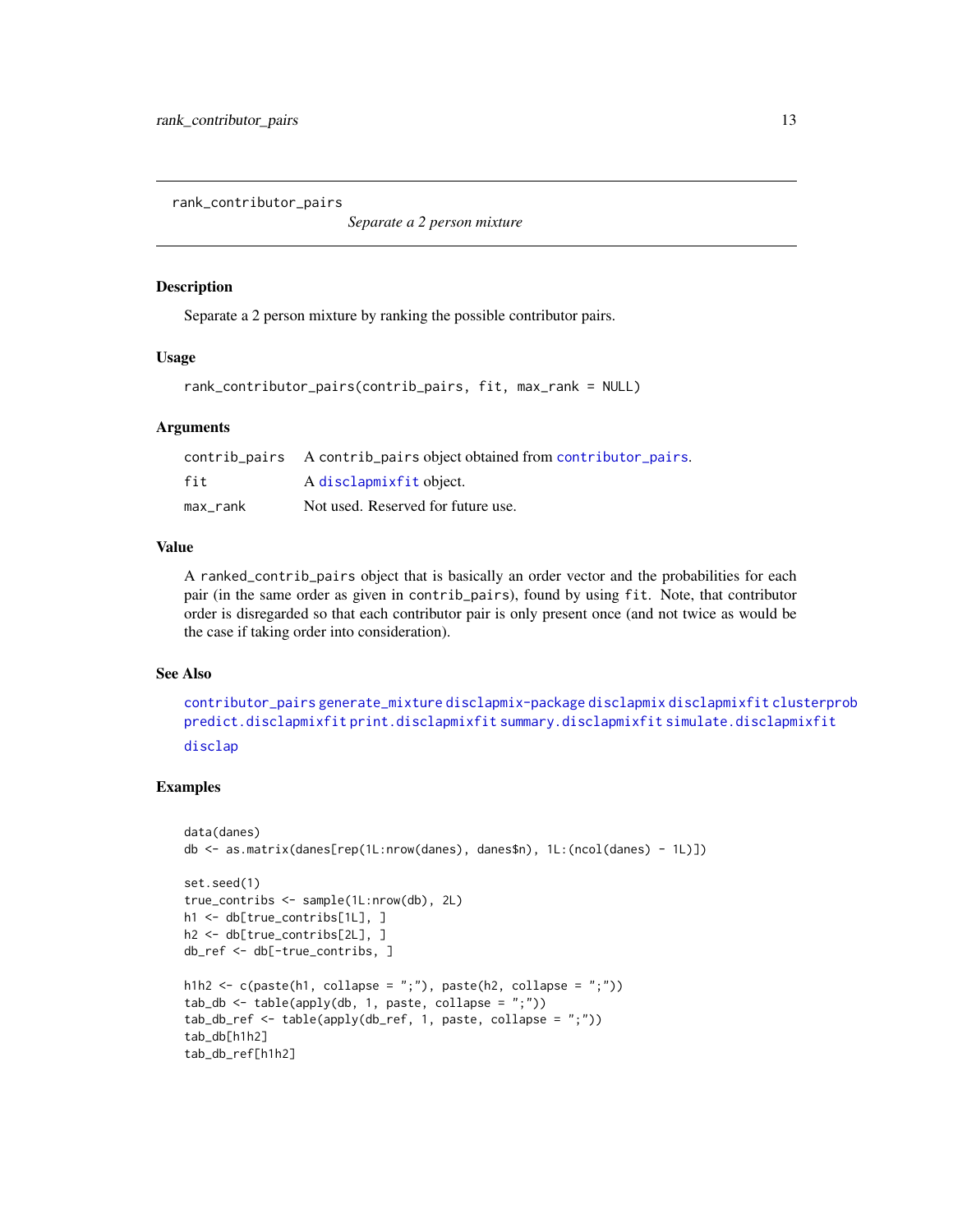<span id="page-12-1"></span><span id="page-12-0"></span>rank\_contributor\_pairs

*Separate a 2 person mixture*

#### **Description**

Separate a 2 person mixture by ranking the possible contributor pairs.

# Usage

```
rank_contributor_pairs(contrib_pairs, fit, max_rank = NULL)
```
#### Arguments

|          | contrib_pairs A contrib_pairs object obtained from contributor_pairs. |
|----------|-----------------------------------------------------------------------|
| fit      | A disclapmixfit object.                                               |
| max rank | Not used. Reserved for future use.                                    |

#### Value

A ranked\_contrib\_pairs object that is basically an order vector and the probabilities for each pair (in the same order as given in contrib\_pairs), found by using fit. Note, that contributor order is disregarded so that each contributor pair is only present once (and not twice as would be the case if taking order into consideration).

#### See Also

[contributor\\_pairs](#page-2-2) [generate\\_mixture](#page-6-1) [disclapmix-package](#page-4-1) [disclapmix](#page-4-2) [disclapmixfit](#page-4-1) [clusterprob](#page-2-1) [predict.disclapmixfit](#page-10-1) [print.disclapmixfit](#page-11-1) [summary.disclapmixfit](#page-14-1) [simulate.disclapmixfit](#page-13-1) [disclap](#page-0-0)

#### Examples

```
data(danes)
db <- as.matrix(danes[rep(1L:nrow(danes), danes$n), 1L:(ncol(danes) - 1L)])
set.seed(1)
true_contribs <- sample(1L:nrow(db), 2L)
h1 <- db[true_contribs[1L], ]
h2 <- db[true_contribs[2L], ]
db_ref <- db[-true_contribs, ]
h1h2 <- c(paste(h1, collapse = ";"), paste(h2, collapse = ";"))
tab_db \leftarrow table(apply(db, 1, paste, collapse = ";"))tab_db_ref <- table(apply(db_ref, 1, paste, collapse = ";"))
tab_db[h1h2]
tab_db_ref[h1h2]
```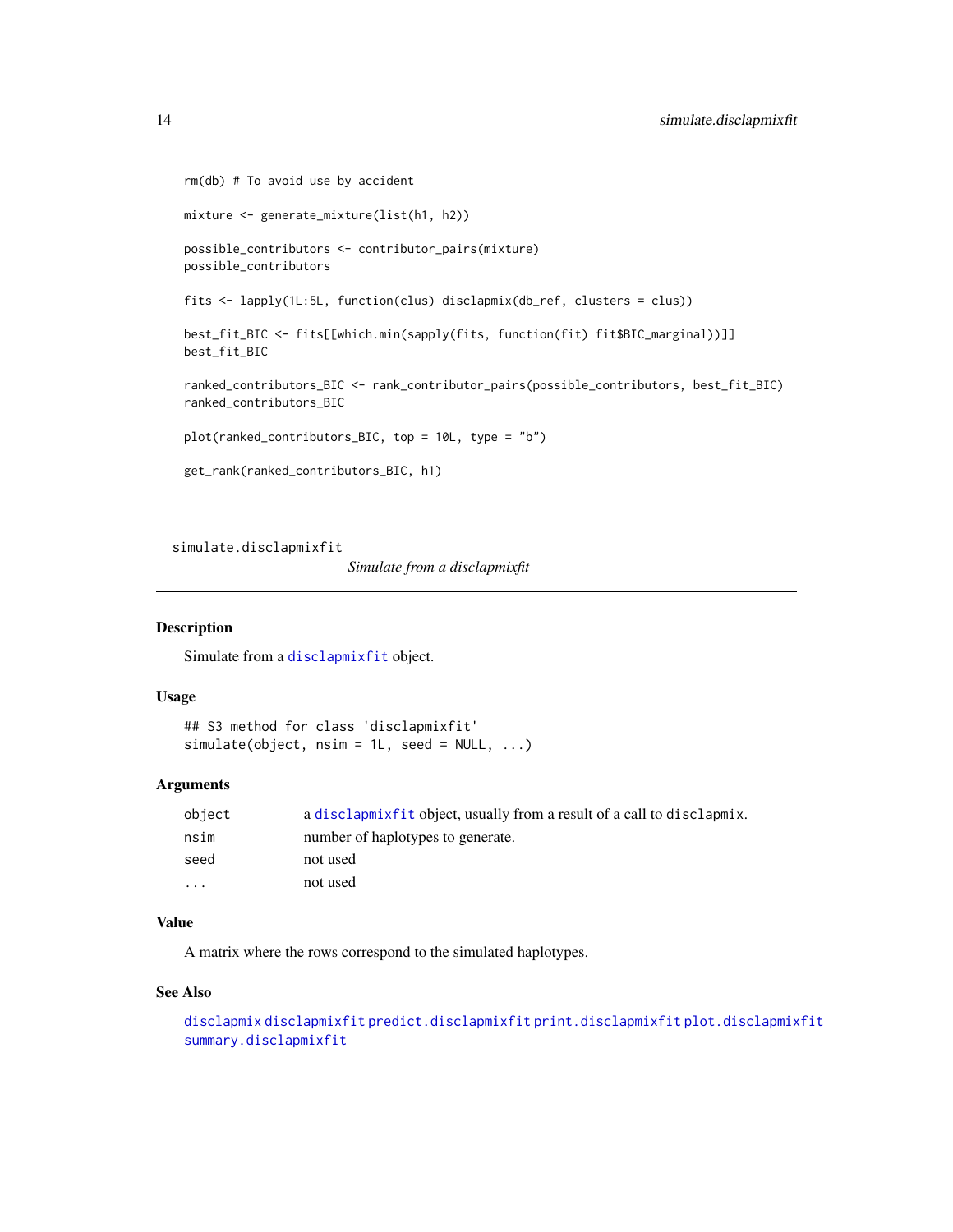```
rm(db) # To avoid use by accident
mixture <- generate_mixture(list(h1, h2))
possible_contributors <- contributor_pairs(mixture)
possible_contributors
fits <- lapply(1L:5L, function(clus) disclapmix(db_ref, clusters = clus))
best_fit_BIC <- fits[[which.min(sapply(fits, function(fit) fit$BIC_marginal))]]
best_fit_BIC
ranked_contributors_BIC <- rank_contributor_pairs(possible_contributors, best_fit_BIC)
ranked_contributors_BIC
plot(ranked_contributors_BIC, top = 10L, type = "b")
get_rank(ranked_contributors_BIC, h1)
```
<span id="page-13-1"></span>simulate.disclapmixfit

*Simulate from a disclapmixfit*

#### Description

Simulate from a [disclapmixfit](#page-4-1) object.

#### Usage

```
## S3 method for class 'disclapmixfit'
simulate(object, nsim = 1L, seed = NULL, ...)
```
#### Arguments

| object  | a disclapmix fit object, usually from a result of a call to disclapmix. |
|---------|-------------------------------------------------------------------------|
| nsim    | number of haplotypes to generate.                                       |
| seed    | not used                                                                |
| $\cdot$ | not used                                                                |

# Value

A matrix where the rows correspond to the simulated haplotypes.

# See Also

```
disclapmix disclapmixfit predict.disclapmixfit print.disclapmixfit plot.disclapmixfit
summary.disclapmixfit
```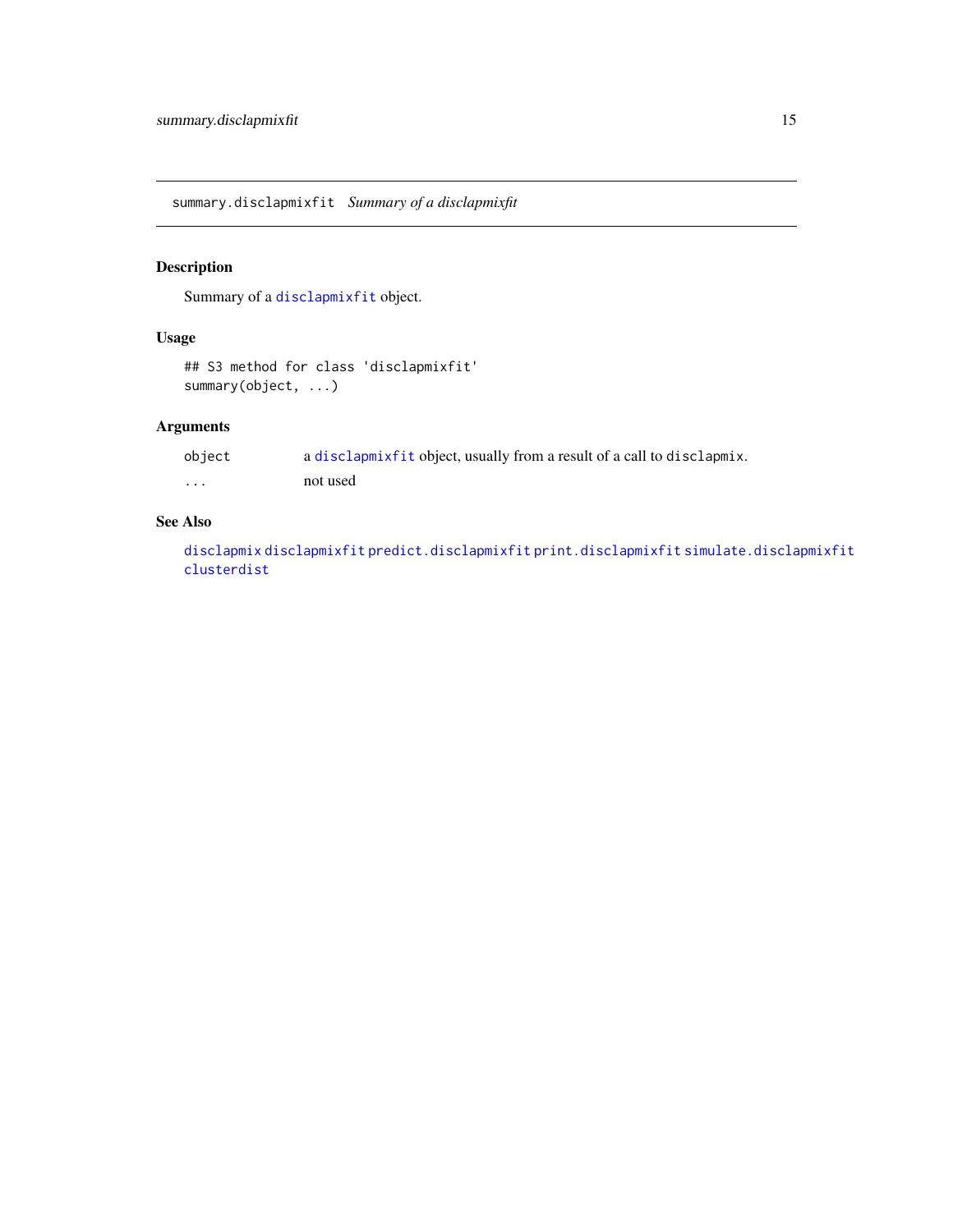<span id="page-14-1"></span><span id="page-14-0"></span>summary.disclapmixfit *Summary of a disclapmixfit*

# Description

Summary of a [disclapmixfit](#page-4-1) object.

### Usage

```
## S3 method for class 'disclapmixfit'
summary(object, ...)
```
### Arguments

| object  | a disclapmixfit object, usually from a result of a call to disclapmix. |
|---------|------------------------------------------------------------------------|
| $\cdot$ | not used                                                               |

# See Also

[disclapmix](#page-4-2) [disclapmixfit](#page-4-1) [predict.disclapmixfit](#page-10-1) [print.disclapmixfit](#page-11-1) [simulate.disclapmixfit](#page-13-1) [clusterdist](#page-1-1)